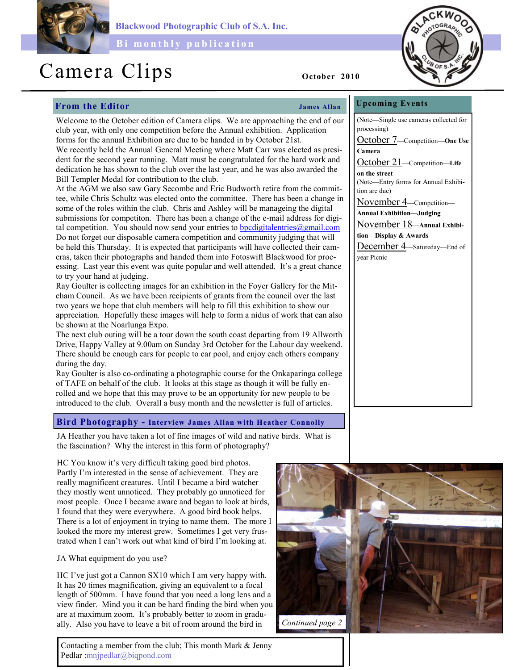

Blackwood Photographic Club of S.A. Inc.

Bi monthly publication

# Camera Clips October 2010

# From the Editor Services of the Services of Tames Allan

Welcome to the October edition of Camera clips. We are approaching the end of our club year, with only one competition before the Annual exhibition. Application forms for the annual Exhibition are due to be handed in by October 21st. We recently held the Annual General Meeting where Matt Carr was elected as presi-

dent for the second year running. Matt must be congratulated for the hard work and dedication he has shown to the club over the last year, and he was also awarded the Bill Templer Medal for contribution to the club.

At the AGM we also saw Gary Secombe and Eric Budworth retire from the committee, while Chris Schultz was elected onto the committee. There has been a change in some of the roles within the club. Chris and Ashley will be manageing the digital submissions for competiton. There has been a change of the e-mail address for digital competition. You should now send your entries to bpcdigitalentries  $\omega$  gmail.com Do not forget our disposable camera competition and community judging that will be held this Thursday. It is expected that participants will have collected their cameras, taken their photographs and handed them into Fotoswift Blackwood for processing. Last year this event was quite popular and well attended. It's a great chance to try your hand at judging.

Ray Goulter is collecting images for an exhibition in the Foyer Gallery for the Mitcham Council. As we have been recipients of grants from the council over the last two years we hope that club members will help to fill this exhibition to show our appreciation. Hopefully these images will help to form a nidus of work that can also be shown at the Noarlunga Expo.

The next club outing will be a tour down the south coast departing from 19 Allworth Drive, Happy Valley at 9.00am on Sunday 3rd October for the Labour day weekend. There should be enough cars for people to car pool, and enjoy each others company during the day.

Ray Goulter is also co-ordinating a photographic course for the Onkaparinga college of TAFE on behalf of the club. It looks at this stage as though it will be fully enrolled and we hope that this may prove to be an opportunity for new people to be introduced to the club. Overall a busy month and the newsletter is full of articles.

# Bird Photography - Interview James Allan with Heather Connolly

JA Heather you have taken a lot of fine images of wild and native birds. What is the fascination? Why the interest in this form of photography?

HC You know it's very difficult taking good bird photos. Partly I'm interested in the sense of achievement. They are really magnificent creatures. Until I became a bird watcher they mostly went unnoticed. They probably go unnoticed for most people. Once I became aware and began to look at birds, I found that they were everywhere. A good bird book helps. There is a lot of enjoyment in trying to name them. The more I looked the more my interest grew. Sometimes I get very frustrated when I can't work out what kind of bird I'm looking at.

JA What equipment do you use?

HC I've just got a Cannon SX10 which I am very happy with. It has 20 times magnification, giving an equivalent to a focal length of 500mm. I have found that you need a long lens and a view finder. Mind you it can be hard finding the bird when you are at maximum zoom. It's probably better to zoom in gradually. Also you have to leave a bit of room around the bird in

Contacting a member from the club; This month Mark & Jenny Pedlar :mnjpedlar@biqpond.com



Upcoming Events

(Note—Single use cameras collected for processing) October 7—Competition—One Use Camera

October 21-Competition-Life on the street (Note—Entry forms for Annual Exhibition are due)

November 4—Competition—

Annual Exhibition—Judging

November 18—Annual Exhibition—Display & Awards

December 4—Satureday—End of year Picnic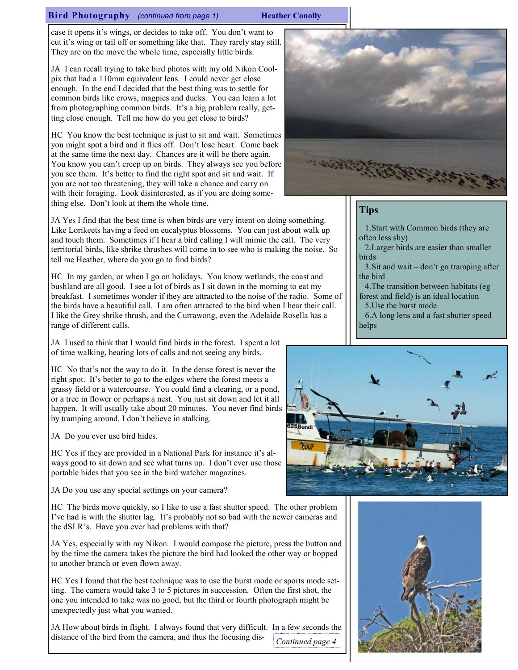# Bird Photography (continued from page 1) Heather Conolly

case it opens it's wings, or decides to take off. You don't want to cut it's wing or tail off or something like that. They rarely stay still. They are on the move the whole time, especially little birds.

JA I can recall trying to take bird photos with my old Nikon Coolpix that had a 110mm equivalent lens. I could never get close enough. In the end I decided that the best thing was to settle for common birds like crows, magpies and ducks. You can learn a lot from photographing common birds. It's a big problem really, getting close enough. Tell me how do you get close to birds?

HC You know the best technique is just to sit and wait. Sometimes you might spot a bird and it flies off. Don't lose heart. Come back at the same time the next day. Chances are it will be there again. You know you can't creep up on birds. They always see you before you see them. It's better to find the right spot and sit and wait. If you are not too threatening, they will take a chance and carry on with their foraging. Look disinterested, as if you are doing something else. Don't look at them the whole time.

JA Yes I find that the best time is when birds are very intent on doing something. Like Lorikeets having a feed on eucalyptus blossoms. You can just about walk up and touch them. Sometimes if I hear a bird calling I will mimic the call. The very territorial birds, like shrike thrushes will come in to see who is making the noise. So tell me Heather, where do you go to find birds?

HC In my garden, or when I go on holidays. You know wetlands, the coast and bushland are all good. I see a lot of birds as I sit down in the morning to eat my breakfast. I sometimes wonder if they are attracted to the noise of the radio. Some of the birds have a beautiful call. I am often attracted to the bird when I hear their call. I like the Grey shrike thrush, and the Currawong, even the Adelaide Rosella has a range of different calls.

JA I used to think that I would find birds in the forest. I spent a lot of time walking, hearing lots of calls and not seeing any birds.

HC No that's not the way to do it. In the dense forest is never the right spot. It's better to go to the edges where the forest meets a grassy field or a watercourse. You could find a clearing, or a pond, or a tree in flower or perhaps a nest. You just sit down and let it all happen. It will usually take about 20 minutes. You never find birds by tramping around. I don't believe in stalking.

JA Do you ever use bird hides.

HC Yes if they are provided in a National Park for instance it's always good to sit down and see what turns up. I don't ever use those portable hides that you see in the bird watcher magazines.

JA Do you use any special settings on your camera?

HC The birds move quickly, so I like to use a fast shutter speed. The other problem I've had is with the shutter lag. It's probably not so bad with the newer cameras and the dSLR's. Have you ever had problems with that?

JA Yes, especially with my Nikon. I would compose the picture, press the button and by the time the camera takes the picture the bird had looked the other way or hopped to another branch or even flown away.

HC Yes I found that the best technique was to use the burst mode or sports mode setting. The camera would take 3 to 5 pictures in succession. Often the first shot, the one you intended to take was no good, but the third or fourth photograph might be unexpectedly just what you wanted.

JA How about birds in flight. I always found that very difficult. In a few seconds the distance of the bird from the camera, and thus the focusing dis-Continued page 4



# **Tips**

1.Start with Common birds (they are often less shy)

2.Larger birds are easier than smaller birds

3.Sit and wait – don't go tramping after the bird

4.The transition between habitats (eg forest and field) is an ideal location

5.Use the burst mode

6.A long lens and a fast shutter speed helps



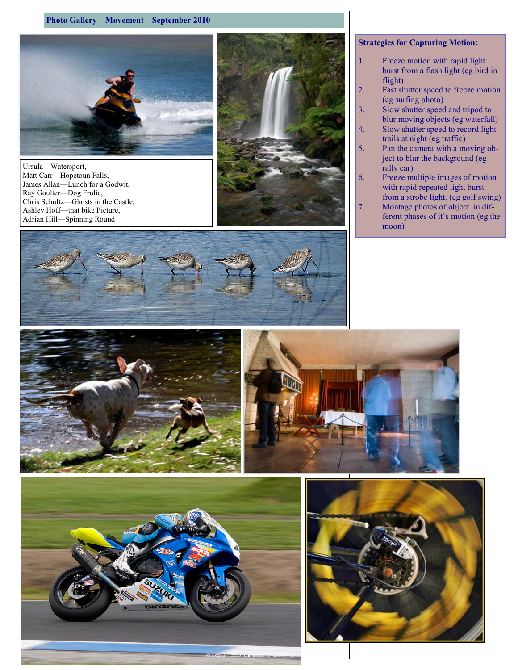# Photo Gallery—Movement—September 2010



Ursula—Watersport, Matt Carr—Hopetoun Falls, James Allan—Lunch for a Godwit, Ray Goulter—Dog Frolic, Chris Schultz—Ghosts in the Castle, Ashley Hoff—that bike Picture, Adrian Hill—Spinning Round



# Strategies for Capturing Motion:

- 1. Freeze motion with rapid light burst from a flash light (eg bird in flight)
- 2. Fast shutter speed to freeze motion (eg surfing photo)
- 3. Slow shutter speed and tripod to blur moving objects (eg waterfall)
- 4. Slow shutter speed to record light trails at night (eg traffic)
- 5. Pan the camera with a moving object to blur the background (eg rally car)
- 6. Freeze multiple images of motion with rapid repeated light burst
- from a strobe light. (eg golf swing) 7. Montage photos of object in dif-
- ferent phases of it's motion (eg the moon)









HEET HOME CROOK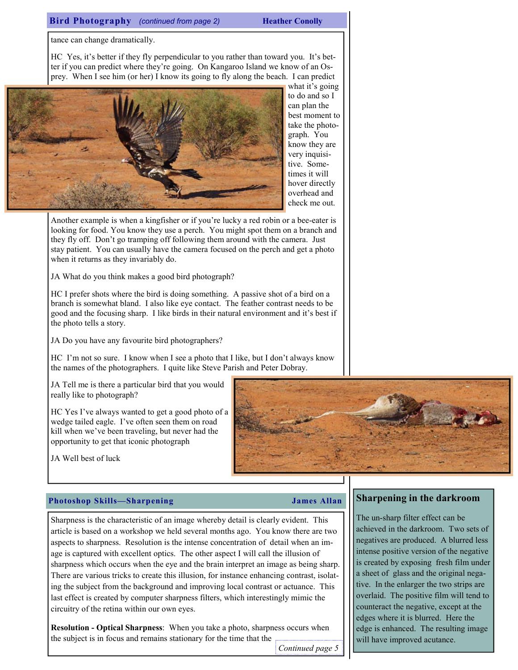# Bird Photography (continued from page 2) Heather Conolly

tance can change dramatically.

HC Yes, it's better if they fly perpendicular to you rather than toward you. It's better if you can predict where they're going. On Kangaroo Island we know of an Osprey. When I see him (or her) I know its going to fly along the beach. I can predict



what it's going to do and so I can plan the best moment to take the photograph. You know they are very inquisitive. Sometimes it will hover directly overhead and check me out.

Another example is when a kingfisher or if you're lucky a red robin or a bee-eater is looking for food. You know they use a perch. You might spot them on a branch and they fly off. Don't go tramping off following them around with the camera. Just stay patient. You can usually have the camera focused on the perch and get a photo when it returns as they invariably do.

JA What do you think makes a good bird photograph?

HC I prefer shots where the bird is doing something. A passive shot of a bird on a branch is somewhat bland. I also like eye contact. The feather contrast needs to be good and the focusing sharp. I like birds in their natural environment and it's best if the photo tells a story.

JA Do you have any favourite bird photographers?

HC I'm not so sure. I know when I see a photo that I like, but I don't always know the names of the photographers. I quite like Steve Parish and Peter Dobray.

JA Tell me is there a particular bird that you would really like to photograph?

HC Yes I've always wanted to get a good photo of a wedge tailed eagle. I've often seen them on road kill when we've been traveling, but never had the opportunity to get that iconic photograph



JA Well best of luck

# Photoshop Skills—Sharpening James Allan

# Sharpness is the characteristic of an image whereby detail is clearly evident. This article is based on a workshop we held several months ago. You know there are two aspects to sharpness. Resolution is the intense concentration of detail when an image is captured with excellent optics. The other aspect I will call the illusion of sharpness which occurs when the eye and the brain interpret an image as being sharp. There are various tricks to create this illusion, for instance enhancing contrast, isolating the subject from the background and improving local contrast or actuance. This last effect is created by computer sharpness filters, which interestingly mimic the circuitry of the retina within our own eyes.

Resolution - Optical Sharpness: When you take a photo, sharpness occurs when the subject is in focus and remains stationary for the time that the

Continued page 5

# Sharpening in the darkroom

The un-sharp filter effect can be achieved in the darkroom. Two sets of negatives are produced. A blurred less intense positive version of the negative is created by exposing fresh film under a sheet of glass and the original negative. In the enlarger the two strips are overlaid. The positive film will tend to counteract the negative, except at the edges where it is blurred. Here the edge is enhanced. The resulting image will have improved acutance.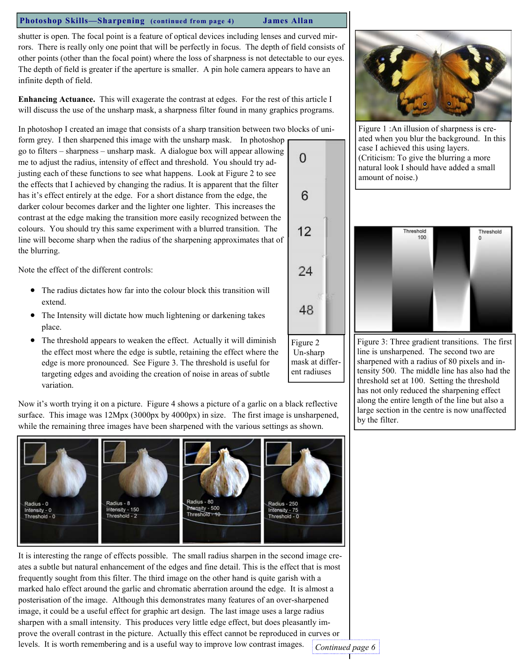# Photoshop Skills—Sharpening (continued from page 4) James Allan

shutter is open. The focal point is a feature of optical devices including lenses and curved mirrors. There is really only one point that will be perfectly in focus. The depth of field consists of other points (other than the focal point) where the loss of sharpness is not detectable to our eyes. The depth of field is greater if the aperture is smaller. A pin hole camera appears to have an infinite depth of field.

Enhancing Actuance. This will exagerate the contrast at edges. For the rest of this article I will discuss the use of the unsharp mask, a sharpness filter found in many graphics programs.

In photoshop I created an image that consists of a sharp transition between two blocks of uni-

form grey. I then sharpened this image with the unsharp mask. In photoshop go to filters – sharpness – unsharp mask. A dialogue box will appear allowing me to adjust the radius, intensity of effect and threshold. You should try adjusting each of these functions to see what happens. Look at Figure 2 to see the effects that I achieved by changing the radius. It is apparent that the filter has it's effect entirely at the edge. For a short distance from the edge, the darker colour becomes darker and the lighter one lighter. This increases the contrast at the edge making the transition more easily recognized between the colours. You should try this same experiment with a blurred transition. The line will become sharp when the radius of the sharpening approximates that of the blurring.

Note the effect of the different controls:

- The radius dictates how far into the colour block this transition will extend.
- The Intensity will dictate how much lightening or darkening takes place.
- The threshold appears to weaken the effect. Actually it will diminish the effect most where the edge is subtle, retaining the effect where the edge is more pronounced. See Figure 3. The threshold is useful for targeting edges and avoiding the creation of noise in areas of subtle variation.

Now it's worth trying it on a picture. Figure 4 shows a picture of a garlic on a black reflective surface. This image was 12Mpx (3000px by 4000px) in size. The first image is unsharpened, while the remaining three images have been sharpened with the various settings as shown.



It is interesting the range of effects possible. The small radius sharpen in the second image creates a subtle but natural enhancement of the edges and fine detail. This is the effect that is most frequently sought from this filter. The third image on the other hand is quite garish with a marked halo effect around the garlic and chromatic aberration around the edge. It is almost a posterisation of the image. Although this demonstrates many features of an over-sharpened image, it could be a useful effect for graphic art design. The last image uses a large radius sharpen with a small intensity. This produces very little edge effect, but does pleasantly improve the overall contrast in the picture. Actually this effect cannot be reproduced in curves or levels. It is worth remembering and is a useful way to improve low contrast images. Continued page 6



Figure 1 :An illusion of sharpness is created when you blur the background. In this case I achieved this using layers. (Criticism: To give the blurring a more natural look I should have added a small amount of noise.)



Figure 3: Three gradient transitions. The first line is unsharpened. The second two are sharpened with a radius of 80 pixels and intensity 500. The middle line has also had the threshold set at 100. Setting the threshold has not only reduced the sharpening effect along the entire length of the line but also a large section in the centre is now unaffected by the filter.

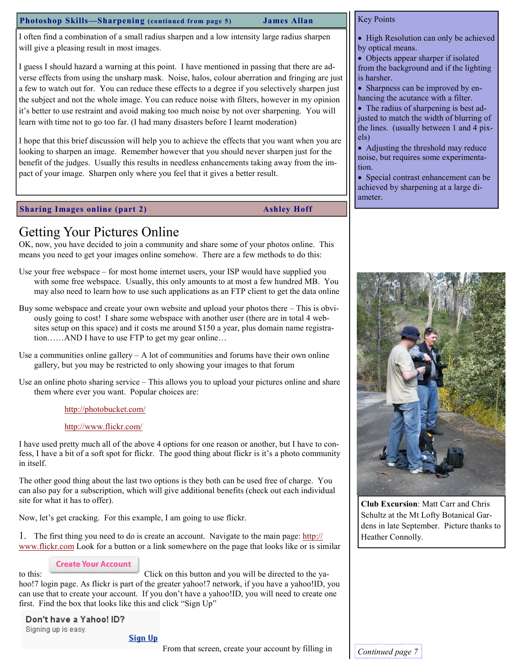### Photoshop Skills—Sharpening (continued from page 5) James Allan

# Key Points

I often find a combination of a small radius sharpen and a low intensity large radius sharpen will give a pleasing result in most images.

I guess I should hazard a warning at this point. I have mentioned in passing that there are adverse effects from using the unsharp mask. Noise, halos, colour aberration and fringing are just a few to watch out for. You can reduce these effects to a degree if you selectively sharpen just the subject and not the whole image. You can reduce noise with filters, however in my opinion it's better to use restraint and avoid making too much noise by not over sharpening. You will learn with time not to go too far. (I had many disasters before I learnt moderation)

I hope that this brief discussion will help you to achieve the effects that you want when you are looking to sharpen an image. Remember however that you should never sharpen just for the benefit of the judges. Usually this results in needless enhancements taking away from the impact of your image. Sharpen only where you feel that it gives a better result.

# Sharing Images online (part 2) Ashley Hoff

# Getting Your Pictures Online

OK, now, you have decided to join a community and share some of your photos online. This means you need to get your images online somehow. There are a few methods to do this:

- Use your free webspace for most home internet users, your ISP would have supplied you with some free webspace. Usually, this only amounts to at most a few hundred MB. You may also need to learn how to use such applications as an FTP client to get the data online
- Buy some webspace and create your own website and upload your photos there This is obviously going to cost! I share some webspace with another user (there are in total 4 websites setup on this space) and it costs me around \$150 a year, plus domain name registration……AND I have to use FTP to get my gear online…
- Use a communities online gallery  $-A$  lot of communities and forums have their own online gallery, but you may be restricted to only showing your images to that forum
- Use an online photo sharing service This allows you to upload your pictures online and share them where ever you want. Popular choices are:

# http://photobucket.com/

# http://www.flickr.com/

I have used pretty much all of the above 4 options for one reason or another, but I have to confess, I have a bit of a soft spot for flickr. The good thing about flickr is it's a photo community in itself.

The other good thing about the last two options is they both can be used free of charge. You can also pay for a subscription, which will give additional benefits (check out each individual site for what it has to offer).

Now, let's get cracking. For this example, I am going to use flickr.

1. The first thing you need to do is create an account. Navigate to the main page: http:// www.flickr.com Look for a button or a link somewhere on the page that looks like or is similar

# **Create Your Account**

to this: Click on this button and you will be directed to the vahoo!7 login page. As flickr is part of the greater yahoo!7 network, if you have a yahoo!ID, you can use that to create your account. If you don't have a yahoo!ID, you will need to create one first. Find the box that looks like this and click "Sign Up"

# Don't have a Yahoo! ID? Signing up is easy.

# **Sign Up**

From that screen, create your account by filling in  $\Big|$  Continued page 7



- Objects appear sharper if isolated from the background and if the lighting is harsher.
- Sharpness can be improved by enhancing the acutance with a filter.
- The radius of sharpening is best adjusted to match the width of blurring of the lines. (usually between 1 and 4 pixels)
- Adjusting the threshold may reduce noise, but requires some experimentation.

• Special contrast enhancement can be achieved by sharpening at a large diameter.



Club Excursion: Matt Carr and Chris Schultz at the Mt Lofty Botanical Gardens in late September. Picture thanks to Heather Connolly.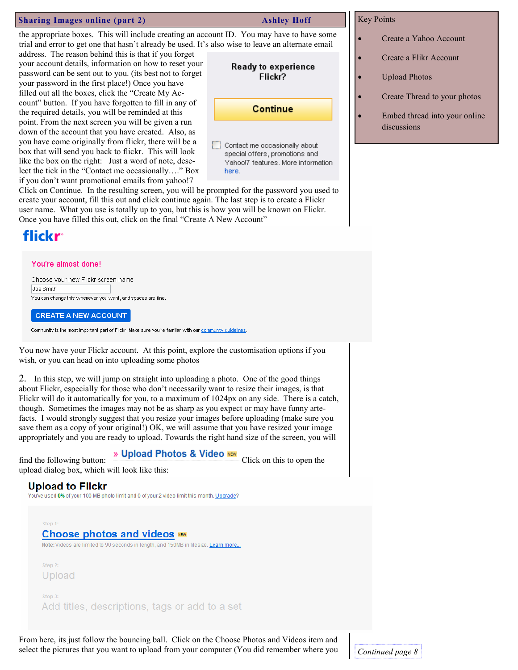### Sharing Images online (part 2) Ashley Hoff

your account details, information on how to reset your password can be sent out to you. (its best not to forget your password in the first place!) Once you have filled out all the boxes, click the "Create My Account" button. If you have forgotten to fill in any of the required details, you will be reminded at this point. From the next screen you will be given a run down of the account that you have created. Also, as you have come originally from flickr, there will be a box that will send you back to flickr. This will look like the box on the right: Just a word of note, deselect the tick in the "Contact me occasionally…." Box if you don't want promotional emails from yahoo!7

the appropriate boxes. This will include creating an account ID. You may have to have some trial and error to get one that hasn't already be used. It's also wise to leave an alternate email address. The reason behind this is that if you forget

> **Ready to experience** Flickr?

> > Continue

Contact me occasionally about special offers, promotions and Yahoo!7 features. More information here.

Click on Continue. In the resulting screen, you will be prompted for the password you used to create your account, fill this out and click continue again. The last step is to create a Flickr user name. What you use is totally up to you, but this is how you will be known on Flickr. Once you have filled this out, click on the final "Create A New Account"

# flickr

### You're almost done!

Choose your new Flickr screen name Joe Smith You can change this whenever you want, and spaces are fine.

**CREATE A NEW ACCOUNT** 

Community is the most important part of Flickr. Make sure you're familiar with our community quidelines

You now have your Flickr account. At this point, explore the customisation options if you wish, or you can head on into uploading some photos

2. In this step, we will jump on straight into uploading a photo. One of the good things about Flickr, especially for those who don't necessarily want to resize their images, is that Flickr will do it automatically for you, to a maximum of 1024px on any side. There is a catch, though. Sometimes the images may not be as sharp as you expect or may have funny artefacts. I would strongly suggest that you resize your images before uploading (make sure you save them as a copy of your original!) OK, we will assume that you have resized your image appropriately and you are ready to upload. Towards the right hand size of the screen, you will

# find the following button: **Net Upload Photos & Video NEW** Click on this to open the

upload dialog box, which will look like this:

# **Upload to Flickr**

You've used 0% of your 100 MB photo limit and 0 of your 2 video limit this month. Upgrade?

Choose photos and videos NEW

Note: Videos are limited to 90 seconds in length, and 150MB in filesize. Learn more...

Step 2 Upload

Step 1:

Step 3 Add titles, descriptions, tags or add to a set

From here, its just follow the bouncing ball. Click on the Choose Photos and Videos item and select the pictures that you want to upload from your computer (You did remember where you  $\bigcup$  Continued page 8

# Key Points

- Create a Yahoo Account
- Create a Flikr Account
- Upload Photos
- Create Thread to your photos
- Embed thread into your online discussions